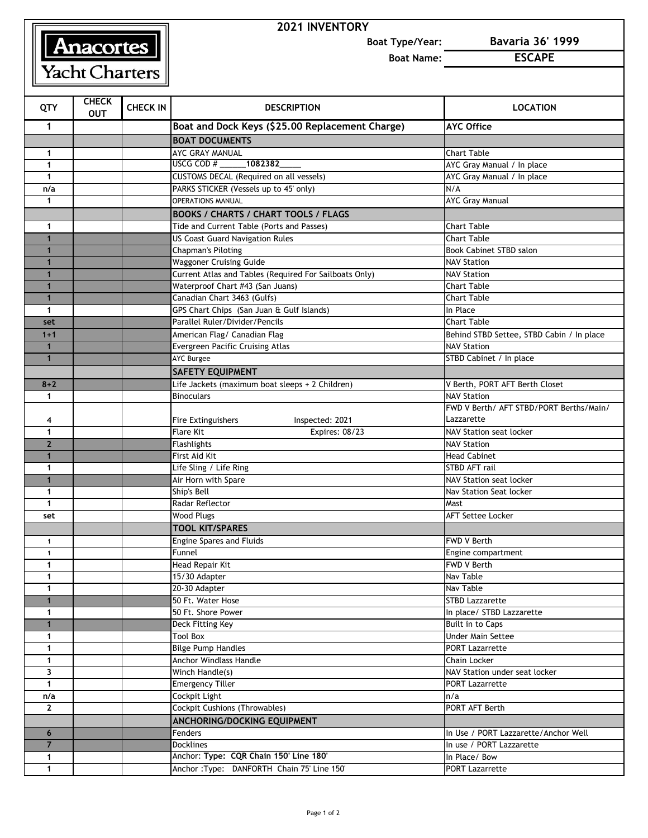## **Anacortes**

Yacht Charters

## **2021 INVENTORY**

**Boat Type/Year: Bavaria 36' 1999**

**Boat Name: ESCAPE**

| <b>QTY</b>      | <b>CHECK</b><br><b>OUT</b> | <b>CHECK IN</b> | <b>DESCRIPTION</b>                                     | <b>LOCATION</b>                           |
|-----------------|----------------------------|-----------------|--------------------------------------------------------|-------------------------------------------|
| 1               |                            |                 | Boat and Dock Keys (\$25.00 Replacement Charge)        | <b>AYC Office</b>                         |
|                 |                            |                 | <b>BOAT DOCUMENTS</b>                                  |                                           |
| 1               |                            |                 | AYC GRAY MANUAL                                        | <b>Chart Table</b>                        |
| $\mathbf{1}$    |                            |                 | USCG COD #<br>1082382                                  | AYC Gray Manual / In place                |
| $\mathbf{1}$    |                            |                 | CUSTOMS DECAL (Required on all vessels)                | AYC Gray Manual / In place                |
| n/a             |                            |                 | PARKS STICKER (Vessels up to 45' only)                 | N/A                                       |
| $\mathbf{1}$    |                            |                 | <b>OPERATIONS MANUAL</b>                               | <b>AYC Gray Manual</b>                    |
|                 |                            |                 | <b>BOOKS / CHARTS / CHART TOOLS / FLAGS</b>            |                                           |
| $\mathbf{1}$    |                            |                 | Tide and Current Table (Ports and Passes)              | Chart Table                               |
| $\mathbf{1}$    |                            |                 | <b>US Coast Guard Navigation Rules</b>                 | <b>Chart Table</b>                        |
| $\mathbf{1}$    |                            |                 | <b>Chapman's Piloting</b>                              | <b>Book Cabinet STBD salon</b>            |
| $\mathbf 1$     |                            |                 | <b>Waggoner Cruising Guide</b>                         | <b>NAV Station</b>                        |
| $\mathbf{1}$    |                            |                 | Current Atlas and Tables (Required For Sailboats Only) | <b>NAV Station</b>                        |
| $\mathbf{1}$    |                            |                 | Waterproof Chart #43 (San Juans)                       | <b>Chart Table</b>                        |
| $\mathbf{1}$    |                            |                 | Canadian Chart 3463 (Gulfs)                            | <b>Chart Table</b>                        |
| $\mathbf{1}$    |                            |                 | GPS Chart Chips (San Juan & Gulf Islands)              | In Place                                  |
| set             |                            |                 | Parallel Ruler/Divider/Pencils                         | <b>Chart Table</b>                        |
| $1 + 1$         |                            |                 | American Flag/ Canadian Flag                           | Behind STBD Settee, STBD Cabin / In place |
| $\mathbf{1}$    |                            |                 | <b>Evergreen Pacific Cruising Atlas</b>                | <b>NAV Station</b>                        |
| $\mathbf{1}$    |                            |                 | AYC Burgee                                             | STBD Cabinet / In place                   |
|                 |                            |                 | <b>SAFETY EQUIPMENT</b>                                |                                           |
| $8 + 2$         |                            |                 | Life Jackets (maximum boat sleeps + 2 Children)        | V Berth, PORT AFT Berth Closet            |
| $\mathbf{1}$    |                            |                 | <b>Binoculars</b>                                      | <b>NAV Station</b>                        |
|                 |                            |                 |                                                        | FWD V Berth/ AFT STBD/PORT Berths/Main/   |
| 4               |                            |                 | Fire Extinguishers<br>Inspected: 2021                  | Lazzarette                                |
| $\mathbf{1}$    |                            |                 | Expires: 08/23<br><b>Flare Kit</b>                     | <b>NAV Station seat locker</b>            |
| $\overline{2}$  |                            |                 | Flashlights                                            | <b>NAV Station</b>                        |
| $\mathbf{1}$    |                            |                 | First Aid Kit                                          | <b>Head Cabinet</b>                       |
| $\mathbf{1}$    |                            |                 | Life Sling / Life Ring                                 | STBD AFT rail                             |
| $\overline{1}$  |                            |                 | Air Horn with Spare                                    | NAV Station seat locker                   |
| $\mathbf{1}$    |                            |                 | Ship's Bell                                            | Nav Station Seat locker                   |
| $\mathbf{1}$    |                            |                 | <b>Radar Reflector</b>                                 | Mast                                      |
| set             |                            |                 | <b>Wood Plugs</b>                                      | <b>AFT Settee Locker</b>                  |
|                 |                            |                 | <b>TOOL KIT/SPARES</b>                                 |                                           |
| $\mathbf{1}$    |                            |                 | <b>Engine Spares and Fluids</b>                        | <b>FWD V Berth</b>                        |
| $\mathbf{1}$    |                            |                 | Funnel                                                 | Engine compartment                        |
| $\mathbf{1}$    |                            |                 | Head Repair Kit                                        | <b>FWD V Berth</b>                        |
| $\mathbf{1}$    |                            |                 | 15/30 Adapter                                          | Nav Table                                 |
| $\mathbf{1}$    |                            |                 | 20-30 Adapter                                          | Nav Table                                 |
| $\mathbf{1}$    |                            |                 | 50 Ft. Water Hose                                      | <b>STBD Lazzarette</b>                    |
| $\mathbf{1}$    |                            |                 | 50 Ft. Shore Power                                     | In place/ STBD Lazzarette                 |
| $\mathbf{1}$    |                            |                 | Deck Fitting Key                                       | Built in to Caps                          |
| $\mathbf{1}$    |                            |                 | <b>Tool Box</b>                                        | <b>Under Main Settee</b>                  |
| 1               |                            |                 | <b>Bilge Pump Handles</b>                              | <b>PORT Lazarrette</b>                    |
| $\mathbf{1}$    |                            |                 | <b>Anchor Windlass Handle</b>                          | Chain Locker                              |
| 3               |                            |                 | Winch Handle(s)                                        | NAV Station under seat locker             |
| $\mathbf{1}$    |                            |                 | <b>Emergency Tiller</b>                                | <b>PORT Lazarrette</b>                    |
| n/a             |                            |                 | Cockpit Light                                          | n/a                                       |
| $\mathbf{2}$    |                            |                 | Cockpit Cushions (Throwables)                          | PORT AFT Berth                            |
|                 |                            |                 | ANCHORING/DOCKING EQUIPMENT                            |                                           |
| $6\phantom{1}6$ |                            |                 | Fenders                                                | In Use / PORT Lazzarette/Anchor Well      |
| $\overline{7}$  |                            |                 | <b>Docklines</b>                                       | In use / PORT Lazzarette                  |
| 1               |                            |                 | Anchor: Type: CQR Chain 150' Line 180'                 | In Place/ Bow                             |
| $\mathbf{1}$    |                            |                 | Anchor: Type: DANFORTH Chain 75' Line 150'             | <b>PORT Lazarrette</b>                    |
|                 |                            |                 |                                                        |                                           |